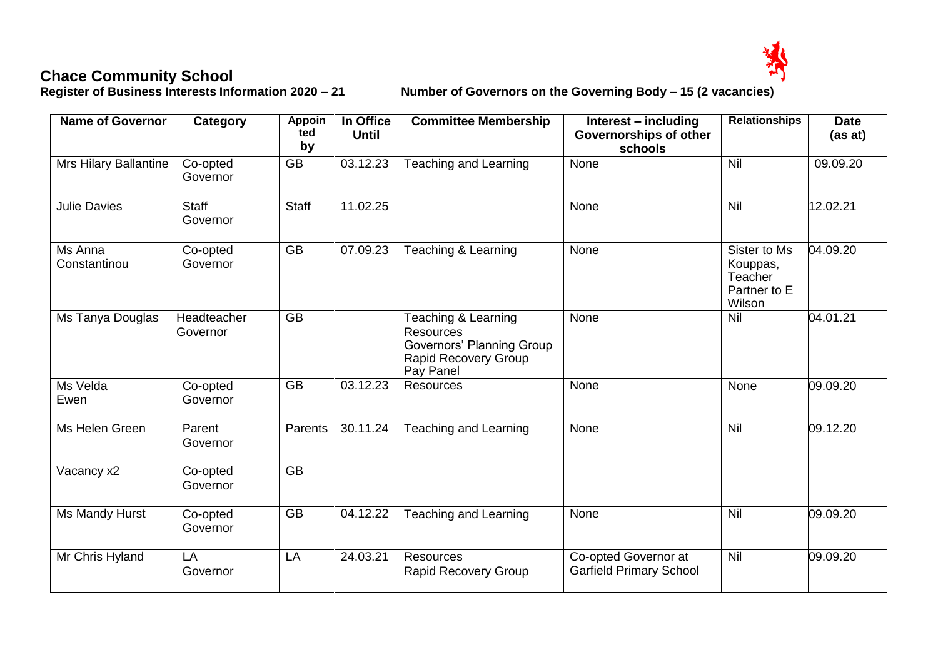**Chace Community School<br>Register of Business Interests Information 2020 - 21** 

**Register of Business Interests Information 2020 – 21 Number of Governors on the Governing Body – 15 (2 vacancies)**

| <b>Name of Governor</b> | <b>Category</b>          | <b>Appoin</b><br>ted<br>by | In Office<br><b>Until</b> | <b>Committee Membership</b>                                                                                             | Interest – including<br>Governorships of other<br>schools | <b>Relationships</b>                                          | <b>Date</b><br>(as at) |
|-------------------------|--------------------------|----------------------------|---------------------------|-------------------------------------------------------------------------------------------------------------------------|-----------------------------------------------------------|---------------------------------------------------------------|------------------------|
| Mrs Hilary Ballantine   | Co-opted<br>Governor     | $\overline{GB}$            | 03.12.23                  | <b>Teaching and Learning</b>                                                                                            | None                                                      | Nil                                                           | 09.09.20               |
| <b>Julie Davies</b>     | <b>Staff</b><br>Governor | <b>Staff</b>               | 11.02.25                  |                                                                                                                         | None                                                      | Nil                                                           | 12.02.21               |
| Ms Anna<br>Constantinou | Co-opted<br>Governor     | $\overline{GB}$            | 07.09.23                  | Teaching & Learning                                                                                                     | None                                                      | Sister to Ms<br>Kouppas,<br>Teacher<br>Partner to E<br>Wilson | 04.09.20               |
| Ms Tanya Douglas        | Headteacher<br>Governor  | $\overline{GB}$            |                           | Teaching & Learning<br><b>Resources</b><br><b>Governors' Planning Group</b><br><b>Rapid Recovery Group</b><br>Pay Panel | None                                                      | Nil                                                           | 04.01.21               |
| Ms Velda<br>Ewen        | Co-opted<br>Governor     | <b>GB</b>                  | 03.12.23                  | Resources                                                                                                               | None                                                      | None                                                          | 09.09.20               |
| Ms Helen Green          | Parent<br>Governor       | Parents                    | 30.11.24                  | <b>Teaching and Learning</b>                                                                                            | None                                                      | Nil                                                           | 09.12.20               |
| Vacancy x2              | Co-opted<br>Governor     | $\overline{GB}$            |                           |                                                                                                                         |                                                           |                                                               |                        |
| Ms Mandy Hurst          | Co-opted<br>Governor     | <b>GB</b>                  | 04.12.22                  | <b>Teaching and Learning</b>                                                                                            | None                                                      | Nil                                                           | 09.09.20               |
| Mr Chris Hyland         | LA<br>Governor           | LA                         | 24.03.21                  | <b>Resources</b><br><b>Rapid Recovery Group</b>                                                                         | Co-opted Governor at<br><b>Garfield Primary School</b>    | Nil                                                           | 09.09.20               |